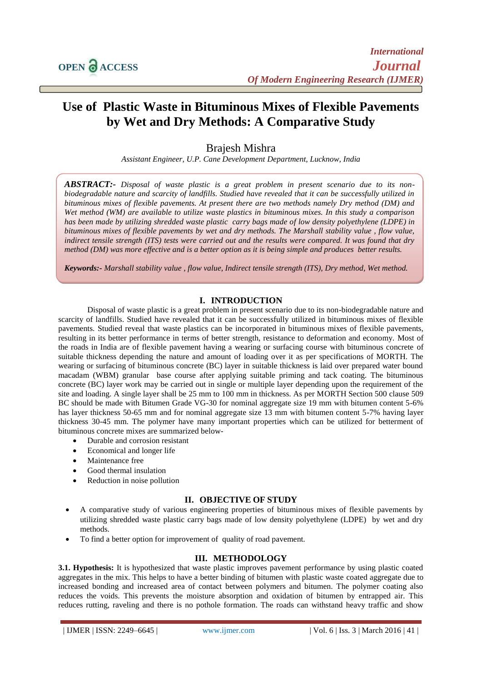$\overline{a}$ 

# **Use of Plastic Waste in Bituminous Mixes of Flexible Pavements by Wet and Dry Methods: A Comparative Study**

Brajesh Mishra

*Assistant Engineer, U.P. Cane Development Department, Lucknow, India*

*ABSTRACT:- Disposal of waste plastic is a great problem in present scenario due to its nonbiodegradable nature and scarcity of landfills. Studied have revealed that it can be successfully utilized in bituminous mixes of flexible pavements. At present there are two methods namely Dry method (DM) and Wet method (WM) are available to utilize waste plastics in bituminous mixes. In this study a comparison has been made by utilizing shredded waste plastic carry bags made of low density polyethylene (LDPE) in bituminous mixes of flexible pavements by wet and dry methods. The Marshall stability value , flow value, indirect tensile strength (ITS) tests were carried out and the results were compared. It was found that dry method (DM) was more effective and is a better option as it is being simple and produces better results.*

*Keywords:- Marshall stability value , flow value, Indirect tensile strength (ITS), Dry method, Wet method.*

# **I. INTRODUCTION**

Disposal of waste plastic is a great problem in present scenario due to its non-biodegradable nature and scarcity of landfills. Studied have revealed that it can be successfully utilized in bituminous mixes of flexible pavements. Studied reveal that waste plastics can be incorporated in bituminous mixes of flexible pavements, resulting in its better performance in terms of better strength, resistance to deformation and economy. Most of the roads in India are of flexible pavement having a wearing or surfacing course with bituminous concrete of suitable thickness depending the nature and amount of loading over it as per specifications of MORTH. The wearing or surfacing of bituminous concrete (BC) layer in suitable thickness is laid over prepared water bound macadam (WBM) granular base course after applying suitable priming and tack coating. The bituminous concrete (BC) layer work may be carried out in single or multiple layer depending upon the requirement of the site and loading. A single layer shall be 25 mm to 100 mm in thickness. As per MORTH Section 500 clause 509 BC should be made with Bitumen Grade VG-30 for nominal aggregate size 19 mm with bitumen content 5-6% has layer thickness 50-65 mm and for nominal aggregate size 13 mm with bitumen content 5-7% having layer thickness 30-45 mm. The polymer have many important properties which can be utilized for betterment of bituminous concrete mixes are summarized below-

- Durable and corrosion resistant
- Economical and longer life
- Maintenance free
- Good thermal insulation
- Reduction in noise pollution

### **II. OBJECTIVE OF STUDY**

- A comparative study of various engineering properties of bituminous mixes of flexible pavements by utilizing shredded waste plastic carry bags made of low density polyethylene (LDPE) by wet and dry methods.
- To find a better option for improvement of quality of road pavement.

# **III. METHODOLOGY**

**3.1. Hypothesis:** It is hypothesized that waste plastic improves pavement performance by using plastic coated aggregates in the mix. This helps to have a better binding of bitumen with plastic waste coated aggregate due to increased bonding and increased area of contact between polymers and bitumen. The polymer coating also reduces the voids. This prevents the moisture absorption and oxidation of bitumen by entrapped air. This reduces rutting, raveling and there is no pothole formation. The roads can withstand heavy traffic and show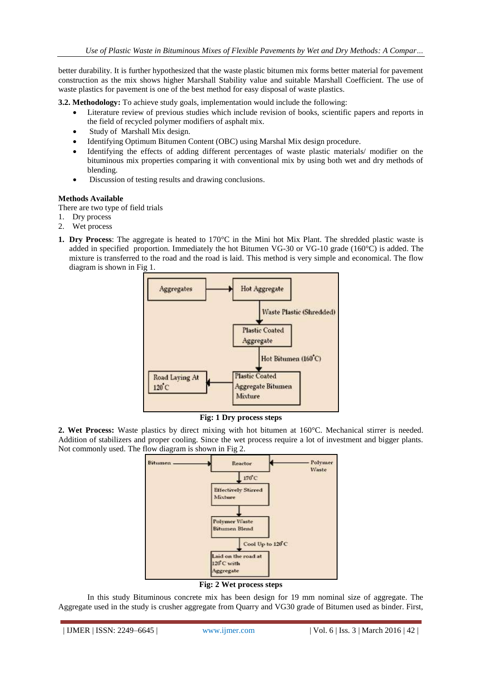better durability. It is further hypothesized that the waste plastic bitumen mix forms better material for pavement construction as the mix shows higher Marshall Stability value and suitable Marshall Coefficient. The use of waste plastics for pavement is one of the best method for easy disposal of waste plastics.

**3.2. Methodology:** To achieve study goals, implementation would include the following:

- Literature review of previous studies which include revision of books, scientific papers and reports in the field of recycled polymer modifiers of asphalt mix.
- Study of Marshall Mix design.
- Identifying Optimum Bitumen Content (OBC) using Marshal Mix design procedure.
- Identifying the effects of adding different percentages of waste plastic materials/ modifier on the bituminous mix properties comparing it with conventional mix by using both wet and dry methods of blending.
- Discussion of testing results and drawing conclusions.

## **Methods Available**

There are two type of field trials

- 1. Dry process
- 2. Wet process
- **1. Dry Process**: The aggregate is heated to 170°C in the Mini hot Mix Plant. The shredded plastic waste is added in specified proportion. Immediately the hot Bitumen VG-30 or VG-10 grade (160°C) is added. The mixture is transferred to the road and the road is laid. This method is very simple and economical. The flow diagram is shown in Fig 1.



# **Fig: 1 Dry process steps**

**2. Wet Process:** Waste plastics by direct mixing with hot bitumen at 160°C. Mechanical stirrer is needed. Addition of stabilizers and proper cooling. Since the wet process require a lot of investment and bigger plants. Not commonly used. The flow diagram is shown in Fig 2.



**Fig: 2 Wet process steps**

In this study Bituminous concrete mix has been design for 19 mm nominal size of aggregate. The Aggregate used in the study is crusher aggregate from Quarry and VG30 grade of Bitumen used as binder. First,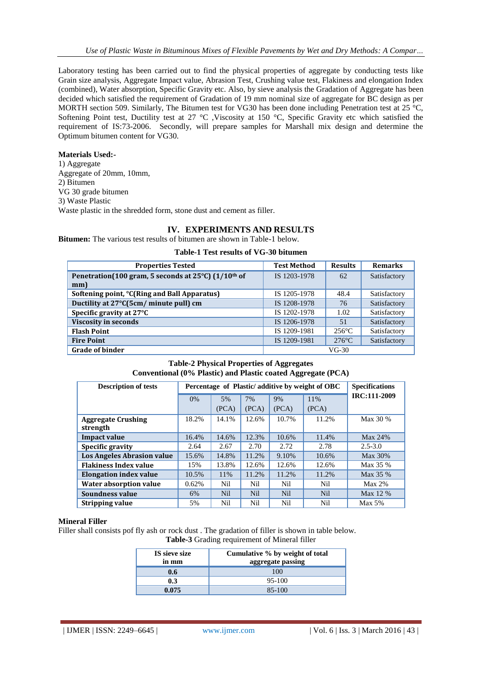Laboratory testing has been carried out to find the physical properties of aggregate by conducting tests like Grain size analysis, Aggregate Impact value, Abrasion Test, Crushing value test, Flakiness and elongation Index (combined), Water absorption, Specific Gravity etc. Also, by sieve analysis the Gradation of Aggregate has been decided which satisfied the requirement of Gradation of 19 mm nominal size of aggregate for BC design as per MORTH section 509. Similarly, The Bitumen test for VG30 has been done including Penetration test at 25 °C, Softening Point test, Ductility test at 27 °C , Viscosity at 150 °C, Specific Gravity etc which satisfied the requirement of IS:73-2006. Secondly, will prepare samples for Marshall mix design and determine the Optimum bitumen content for VG30.

### **Materials Used:-**

1) Aggregate Aggregate of 20mm, 10mm, 2) Bitumen VG 30 grade bitumen 3) Waste Plastic Waste plastic in the shredded form, stone dust and cement as filler.

# **IV. EXPERIMENTS AND RESULTS**

**Bitumen:** The various test results of bitumen are shown in Table-1 below.

### **Table-1 Test results of VG-30 bitumen**

| <b>Properties Tested</b>                                               | <b>Test Method</b> | <b>Results</b>  | <b>Remarks</b> |
|------------------------------------------------------------------------|--------------------|-----------------|----------------|
| Penetration(100 gram, 5 seconds at 25°C) (1/10 <sup>th</sup> of<br>mm) | IS 1203-1978       | 62              | Satisfactory   |
| Softening point, °C(Ring and Ball Apparatus)                           | IS 1205-1978       | 48.4            | Satisfactory   |
| Ductility at 27°C(5cm/ minute pull) cm                                 | IS 1208-1978       | 76              | Satisfactory   |
| Specific gravity at 27°C                                               | IS 1202-1978       | 1.02            | Satisfactory   |
| <b>Viscosity in seconds</b>                                            | IS 1206-1978       | 51              | Satisfactory   |
| <b>Flash Point</b>                                                     | IS 1209-1981       | $256^{\circ}$ C | Satisfactory   |
| <b>Fire Point</b>                                                      | IS 1209-1981       | $276^{\circ}$ C | Satisfactory   |
| <b>Grade of binder</b>                                                 | $VG-30$            |                 |                |

## **Table-2 Physical Properties of Aggregates Conventional (0% Plastic) and Plastic coated Aggregate (PCA)**

| <b>Description of tests</b>           | Percentage of Plastic/additive by weight of OBC | <b>Specifications</b> |            |            |            |              |
|---------------------------------------|-------------------------------------------------|-----------------------|------------|------------|------------|--------------|
|                                       | 0%                                              | 5%                    | 7%         | 9%         | 11%        | IRC:111-2009 |
|                                       |                                                 | (PCA)                 | (PCA)      | (PCA)      | (PCA)      |              |
| <b>Aggregate Crushing</b><br>strength | 18.2%                                           | 14.1%                 | 12.6%      | 10.7%      | 11.2%      | Max 30 %     |
| <b>Impact value</b>                   | 16.4%                                           | 14.6%                 | 12.3%      | 10.6%      | 11.4%      | Max 24%      |
| Specific gravity                      | 2.64                                            | 2.67                  | 2.70       | 2.72       | 2.78       | $2.5 - 3.0$  |
| <b>Los Angeles Abrasion value</b>     | 15.6%                                           | 14.8%                 | 11.2%      | 9.10%      | 10.6%      | Max 30%      |
| <b>Flakiness Index value</b>          | 15%                                             | 13.8%                 | 12.6%      | 12.6%      | 12.6%      | Max 35 %     |
| <b>Elongation index value</b>         | 10.5%                                           | 11%                   | 11.2%      | 11.2%      | 11.2%      | Max 35 %     |
| <b>Water absorption value</b>         | 0.62%                                           | Nil                   | Nil        | Nil        | Nil        | $Max 2\%$    |
| Soundness value                       | 6%                                              | <b>Nil</b>            | <b>Nil</b> | <b>Nil</b> | <b>Nil</b> | Max 12 %     |
| Stripping value                       | 5%                                              | Nil                   | Nil        | Nil        | Nil        | Max 5%       |

#### **Mineral Filler**

Filler shall consists pof fly ash or rock dust . The gradation of filler is shown in table below.

**Table-3** Grading requirement of Mineral filler

| IS sieve size<br>in mm | Cumulative % by weight of total<br>aggregate passing |
|------------------------|------------------------------------------------------|
| 0.6                    | 100                                                  |
| 0.3                    | 95-100                                               |
| 0.075                  | 85-100                                               |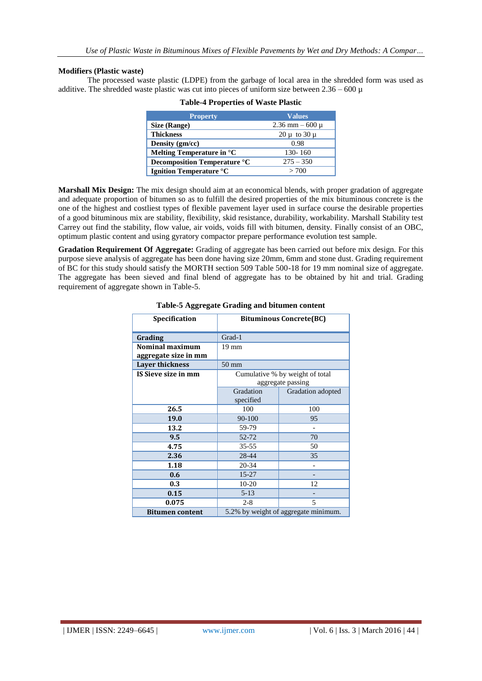### **Modifiers (Plastic waste)**

The processed waste plastic (LDPE) from the garbage of local area in the shredded form was used as additive. The shredded waste plastic was cut into pieces of uniform size between  $2.36 - 600 \mu$ 

| <b>Property</b>                    | <b>Values</b>        |
|------------------------------------|----------------------|
| Size (Range)                       | $2.36$ mm $-600 \mu$ |
| <b>Thickness</b>                   | $20 \mu$ to $30 \mu$ |
| Density $(gm/cc)$                  | 0.98                 |
| Melting Temperature in $^{\circ}C$ | 130-160              |
| Decomposition Temperature °C       | $275 - 350$          |
| <b>Ignition Temperature °C</b>     | > 700                |

#### **Table-4 Properties of Waste Plastic**

**Marshall Mix Design:** The mix design should aim at an economical blends, with proper gradation of aggregate and adequate proportion of bitumen so as to fulfill the desired properties of the mix bituminous concrete is the one of the highest and costliest types of flexible pavement layer used in surface course the desirable properties of a good bituminous mix are stability, flexibility, skid resistance, durability, workability. Marshall Stability test Carrey out find the stability, flow value, air voids, voids fill with bitumen, density. Finally consist of an OBC, optimum plastic content and using gyratory compactor prepare performance evolution test sample.

**Gradation Requirement Of Aggregate:** Grading of aggregate has been carried out before mix design. For this purpose sieve analysis of aggregate has been done having size 20mm, 6mm and stone dust. Grading requirement of BC for this study should satisfy the MORTH section 509 Table 500-18 for 19 mm nominal size of aggregate. The aggregate has been sieved and final blend of aggregate has to be obtained by hit and trial. Grading requirement of aggregate shown in Table-5.

| <b>Specification</b>   | <b>Bituminous Concrete(BC)</b> |                                      |  |  |
|------------------------|--------------------------------|--------------------------------------|--|--|
| Grading                | Grad-1                         |                                      |  |  |
| Nominal maximum        | $19 \text{ mm}$                |                                      |  |  |
| aggregate size in mm   |                                |                                      |  |  |
| <b>Layer thickness</b> | $50 \text{ mm}$                |                                      |  |  |
| IS Sieve size in mm    |                                | Cumulative % by weight of total      |  |  |
|                        |                                | aggregate passing                    |  |  |
|                        | Gradation<br>Gradation adopted |                                      |  |  |
|                        | specified                      |                                      |  |  |
| 26.5                   | 100                            | 100                                  |  |  |
| 19.0                   | 90-100                         | 95                                   |  |  |
| 13.2                   | 59-79                          |                                      |  |  |
| 9.5                    | 52-72<br>70                    |                                      |  |  |
| 4.75                   | $35 - 55$                      | 50                                   |  |  |
| 2.36                   | 28-44                          | 35                                   |  |  |
| 1.18                   | 20-34                          |                                      |  |  |
| 0.6                    | $15 - 27$                      |                                      |  |  |
| 0.3                    | $10 - 20$                      | 12                                   |  |  |
| 0.15                   | $5 - 13$                       |                                      |  |  |
| 0.075                  | $2 - 8$                        | 5                                    |  |  |
| <b>Bitumen content</b> |                                | 5.2% by weight of aggregate minimum. |  |  |

#### **Table-5 Aggregate Grading and bitumen content**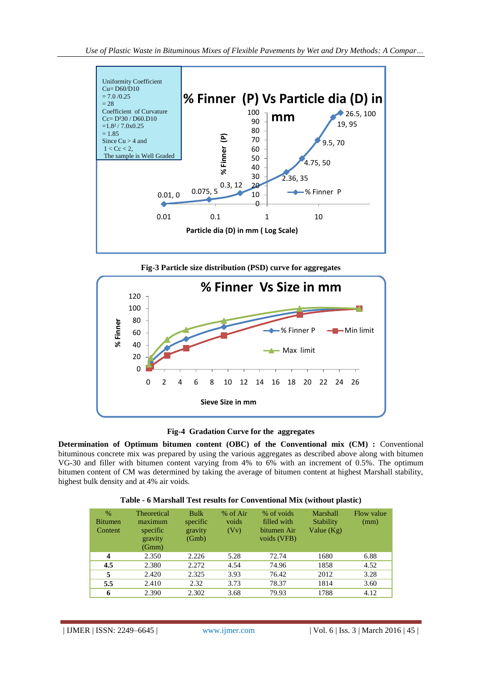

**Fig-3 Particle size distribution (PSD) curve for aggregates**



## **Fig-4 Gradation Curve for the aggregates**

**Determination of Optimum bitumen content (OBC) of the Conventional mix (CM) :** Conventional bituminous concrete mix was prepared by using the various aggregates as described above along with bitumen VG-30 and filler with bitumen content varying from 4% to 6% with an increment of 0.5%. The optimum bitumen content of CM was determined by taking the average of bitumen content at highest Marshall stability, highest bulk density and at 4% air voids.

|  |  | Table - 6 Marshall Test results for Conventional Mix (without plastic) |  |  |
|--|--|------------------------------------------------------------------------|--|--|
|--|--|------------------------------------------------------------------------|--|--|

| $\%$<br><b>Bitumen</b><br>Content | <b>Theoretical</b><br>maximum<br>specific<br>gravity<br>(Gmm) | <b>Bulk</b><br>specific<br>gravity<br>(Gmb) | % of Air<br>voids<br>(Vv) | % of voids<br>filled with<br>bitumen Air<br>voids (VFB) | Marshall<br>Stability<br>Value $(Kg)$ | Flow value<br>(mm) |
|-----------------------------------|---------------------------------------------------------------|---------------------------------------------|---------------------------|---------------------------------------------------------|---------------------------------------|--------------------|
| $\boldsymbol{4}$                  | 2.350                                                         | 2.226                                       | 5.28                      | 72.74                                                   | 1680                                  | 6.88               |
| 4.5                               | 2.380                                                         | 2.272                                       | 4.54                      | 74.96                                                   | 1858                                  | 4.52               |
| 5                                 | 2.420                                                         | 2.325                                       | 3.93                      | 76.42                                                   | 2012                                  | 3.28               |
| 5.5                               | 2.410                                                         | 2.32                                        | 3.73                      | 78.37                                                   | 1814                                  | 3.60               |
| 6                                 | 2.390                                                         | 2.302                                       | 3.68                      | 79.93                                                   | 1788                                  | 4.12               |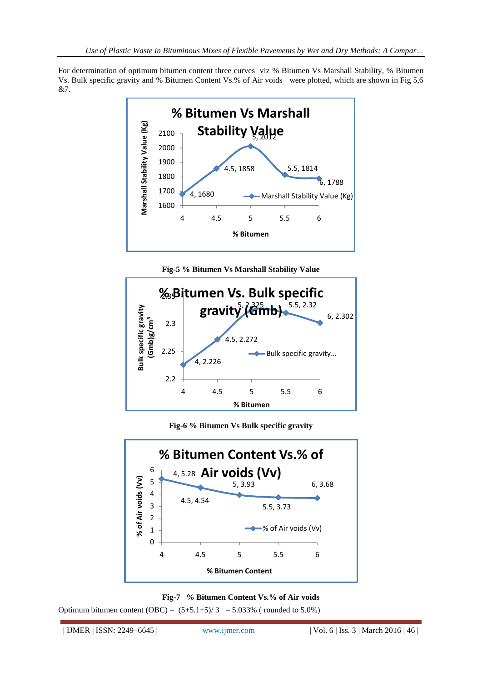For determination of optimum bitumen content three curves viz % Bitumen Vs Marshall Stability, % Bitumen Vs. Bulk specific gravity and % Bitumen Content Vs.% of Air voids were plotted, which are shown in Fig 5,6 &7.







**Fig-6 % Bitumen Vs Bulk specific gravity**





Optimum bitumen content  $(OBC) = (5+5.1+5)/3 = 5.033%$  (rounded to 5.0%)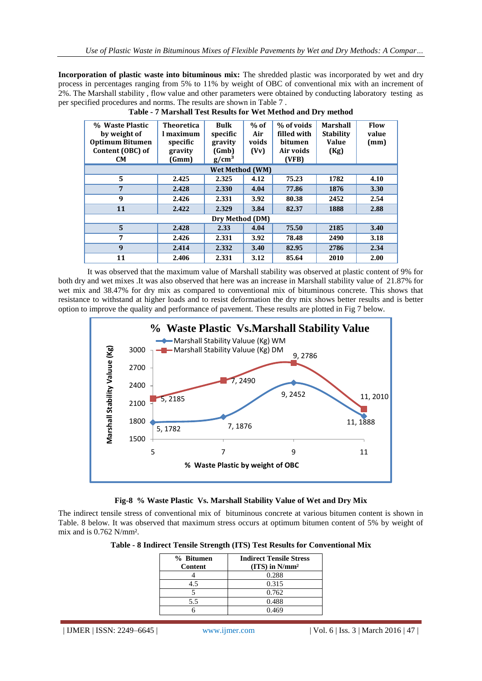**Incorporation of plastic waste into bituminous mix:** The shredded plastic was incorporated by wet and dry process in percentages ranging from 5% to 11% by weight of OBC of conventional mix with an increment of 2%. The Marshall stability , flow value and other parameters were obtained by conducting laboratory testing as per specified procedures and norms. The results are shown in Table 7.<br>Table - 7 Marshall Test Results for Wet Metho

| % Waste Plastic        | <b>Theoretica</b> | <b>Bulk</b>            | $%$ of | % of voids  | <b>Marshall</b>  | <b>Flow</b> |
|------------------------|-------------------|------------------------|--------|-------------|------------------|-------------|
| by weight of           | l maximum         | specific               | Air    | filled with | <b>Stability</b> | value       |
| <b>Optimum Bitumen</b> | specific          | gravity                | voids  | bitumen     | <b>Value</b>     | (mm)        |
| Content (OBC) of       | gravity           | (Gmb)                  | (Vv)   | Air voids   | (Kg)             |             |
| <b>CM</b>              | (Gmm)             | g/cm <sup>3</sup>      |        | (VFB)       |                  |             |
|                        |                   | <b>Wet Method (WM)</b> |        |             |                  |             |
| 5                      | 2.425             | 2.325                  | 4.12   | 75.23       | 1782             | 4.10        |
| 7                      | 2.428             | 2.330                  | 4.04   | 77.86       | 1876             | 3.30        |
| 9                      | 2.426             | 2.331                  | 3.92   | 80.38       | 2452             | 2.54        |
| 11                     | 2.422             | 2.329                  | 3.84   | 82.37       | 1888             | 2.88        |
|                        |                   | Dry Method (DM)        |        |             |                  |             |
| $\overline{5}$         | 2.428             | 2.33                   | 4.04   | 75.50       | 2185             | 3.40        |
| 7                      | 2.426             | 2.331                  | 3.92   | 78.48       | 2490             | 3.18        |
| 9                      | 2.414             | 2.332                  | 3.40   | 82.95       | 2786             | 2.34        |
| 11                     | 2.406             | 2.331                  | 3.12   | 85.64       | 2010             | 2.00        |

|  |  | Table - 7 Marshall Test Results for Wet Method and Dry method |  |
|--|--|---------------------------------------------------------------|--|
|  |  |                                                               |  |

It was observed that the maximum value of Marshall stability was observed at plastic content of 9% for both dry and wet mixes .It was also observed that here was an increase in Marshall stability value of 21.87% for wet mix and 38.47% for dry mix as compared to conventional mix of bituminous concrete. This shows that resistance to withstand at higher loads and to resist deformation the dry mix shows better results and is better option to improve the quality and performance of pavement. These results are plotted in Fig 7 below.



# **Fig-8 % Waste Plastic Vs. Marshall Stability Value of Wet and Dry Mix**

The indirect tensile stress of conventional mix of bituminous concrete at various bitumen content is shown in Table. 8 below. It was observed that maximum stress occurs at optimum bitumen content of 5% by weight of mix and is 0.762 N/mm².

| Table - 8 Indirect Tensile Strength (ITS) Test Results for Conventional Mix |  |  |
|-----------------------------------------------------------------------------|--|--|
|-----------------------------------------------------------------------------|--|--|

| % Bitumen<br>Content | <b>Indirect Tensile Stress</b><br>$(TTS)$ in $N/mm^2$ |
|----------------------|-------------------------------------------------------|
|                      | 0.288                                                 |
| 4.5                  | 0.315                                                 |
|                      | 0.762                                                 |
| 5.5                  | 0.488                                                 |
|                      | 0.469                                                 |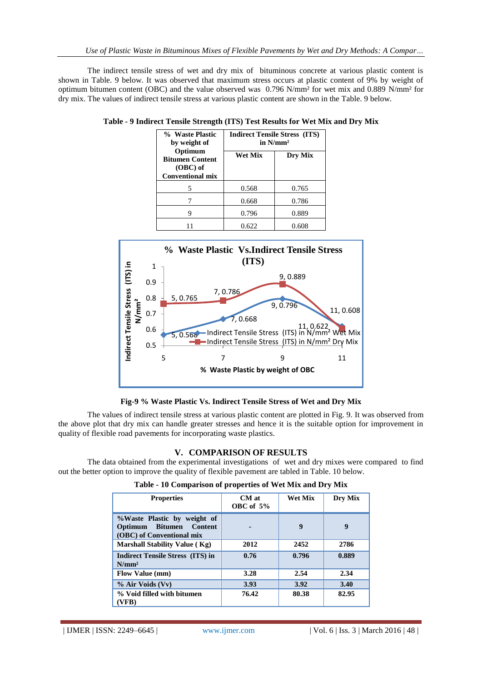The indirect tensile stress of wet and dry mix of bituminous concrete at various plastic content is shown in Table. 9 below. It was observed that maximum stress occurs at plastic content of 9% by weight of optimum bitumen content (OBC) and the value observed was 0.796 N/mm² for wet mix and 0.889 N/mm² for dry mix. The values of indirect tensile stress at various plastic content are shown in the Table. 9 below.

| % Waste Plastic<br>by weight of                                            | <b>Indirect Tensile Stress (ITS)</b><br>in $N/mm2$ |         |  |
|----------------------------------------------------------------------------|----------------------------------------------------|---------|--|
| Optimum<br><b>Bitumen Content</b><br>$(OBC)$ of<br><b>Conventional mix</b> | <b>Wet Mix</b>                                     | Dry Mix |  |
|                                                                            | 0.568                                              | 0.765   |  |
|                                                                            | 0.668                                              | 0.786   |  |
|                                                                            | 0.796                                              | 0.889   |  |
|                                                                            | 0.622                                              | 0.608   |  |

|  | Table - 9 Indirect Tensile Strength (ITS) Test Results for Wet Mix and Dry Mix |  |  |  |  |  |  |  |  |  |  |  |
|--|--------------------------------------------------------------------------------|--|--|--|--|--|--|--|--|--|--|--|
|--|--------------------------------------------------------------------------------|--|--|--|--|--|--|--|--|--|--|--|



**Fig-9 % Waste Plastic Vs. Indirect Tensile Stress of Wet and Dry Mix**

The values of indirect tensile stress at various plastic content are plotted in Fig. 9. It was observed from the above plot that dry mix can handle greater stresses and hence it is the suitable option for improvement in quality of flexible road pavements for incorporating waste plastics.

# **V. COMPARISON OF RESULTS**

The data obtained from the experimental investigations of wet and dry mixes were compared to find out the better option to improve the quality of flexible pavement are tabled in Table. 10 below.

| <b>Properties</b>                                                                             | $CM$ at<br>OBC of $5%$ | Wet Mix | Dry Mix |
|-----------------------------------------------------------------------------------------------|------------------------|---------|---------|
| %Waste Plastic by weight of<br>Optimum Bitumen<br><b>Content</b><br>(OBC) of Conventional mix |                        | 9       | 9       |
| <b>Marshall Stability Value (Kg)</b>                                                          | 2012                   | 2452    | 2786    |
| <b>Indirect Tensile Stress (ITS) in</b><br>$N/mm^2$                                           | 0.76                   | 0.796   | 0.889   |
| <b>Flow Value (mm)</b>                                                                        | 3.28                   | 2.54    | 2.34    |
| % Air Voids (Vv)                                                                              | 3.93                   | 3.92    | 3.40    |
| % Void filled with bitumen<br>(VFB)                                                           | 76.42                  | 80.38   | 82.95   |

**Table - 10 Comparison of properties of Wet Mix and Dry Mix**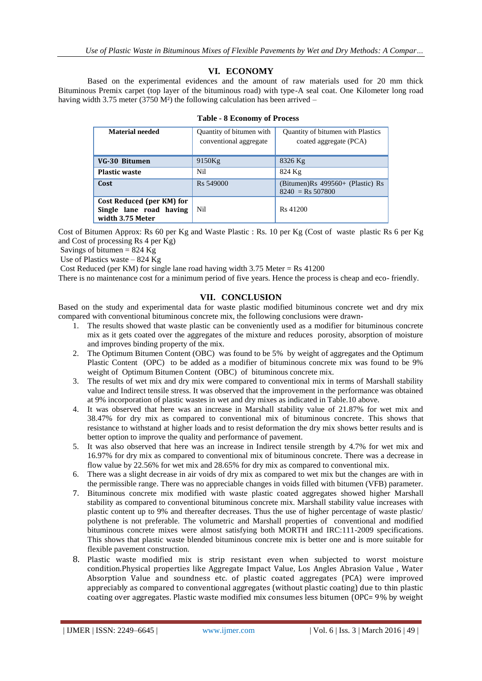# **VI. ECONOMY**

Based on the experimental evidences and the amount of raw materials used for 20 mm thick Bituminous Premix carpet (top layer of the bituminous road) with type-A seal coat. One Kilometer long road having width 3.75 meter (3750 M<sup>2</sup>) the following calculation has been arrived –

| <b>Material needed</b>                                                   | Quantity of bitumen with<br>conventional aggregate | Quantity of bitumen with Plastics<br>coated aggregate (PCA) |  |  |  |
|--------------------------------------------------------------------------|----------------------------------------------------|-------------------------------------------------------------|--|--|--|
| VG-30 Bitumen                                                            | 9150Kg                                             | 8326 Kg                                                     |  |  |  |
| <b>Plastic waste</b>                                                     | Nil                                                | 824 Kg                                                      |  |  |  |
| Cost                                                                     | R <sub>s</sub> 549000                              | (Bitumen) $Rs$ 499560+ (Plastic) $Rs$<br>$8240 =$ Rs 507800 |  |  |  |
| Cost Reduced (per KM) for<br>Single lane road having<br>width 3.75 Meter | Nil                                                | R <sub>s</sub> 41200                                        |  |  |  |

|  |  | <b>Table - 8 Economy of Process</b> |  |  |
|--|--|-------------------------------------|--|--|
|--|--|-------------------------------------|--|--|

Cost of Bitumen Approx: Rs 60 per Kg and Waste Plastic : Rs. 10 per Kg (Cost of waste plastic Rs 6 per Kg and Cost of processing Rs 4 per Kg)

Savings of bitumen =  $824$  Kg

Use of Plastics waste – 824 Kg

Cost Reduced (per KM) for single lane road having width  $3.75$  Meter = Rs  $41200$ 

There is no maintenance cost for a minimum period of five years. Hence the process is cheap and eco- friendly.

### **VII. CONCLUSION**

Based on the study and experimental data for waste plastic modified bituminous concrete wet and dry mix compared with conventional bituminous concrete mix, the following conclusions were drawn-

- 1. The results showed that waste plastic can be conveniently used as a modifier for bituminous concrete mix as it gets coated over the aggregates of the mixture and reduces porosity, absorption of moisture and improves binding property of the mix.
- 2. The Optimum Bitumen Content (OBC) was found to be 5% by weight of aggregates and the Optimum Plastic Content (OPC) to be added as a modifier of bituminous concrete mix was found to be 9% weight of Optimum Bitumen Content (OBC) of bituminous concrete mix.
- 3. The results of wet mix and dry mix were compared to conventional mix in terms of Marshall stability value and Indirect tensile stress. It was observed that the improvement in the performance was obtained at 9% incorporation of plastic wastes in wet and dry mixes as indicated in Table.10 above.
- 4. It was observed that here was an increase in Marshall stability value of 21.87% for wet mix and 38.47% for dry mix as compared to conventional mix of bituminous concrete. This shows that resistance to withstand at higher loads and to resist deformation the dry mix shows better results and is better option to improve the quality and performance of pavement.
- 5. It was also observed that here was an increase in Indirect tensile strength by 4.7% for wet mix and 16.97% for dry mix as compared to conventional mix of bituminous concrete. There was a decrease in flow value by 22.56% for wet mix and 28.65% for dry mix as compared to conventional mix.
- 6. There was a slight decrease in air voids of dry mix as compared to wet mix but the changes are with in the permissible range. There was no appreciable changes in voids filled with bitumen (VFB) parameter.
- 7. Bituminous concrete mix modified with waste plastic coated aggregates showed higher Marshall stability as compared to conventional bituminous concrete mix. Marshall stability value increases with plastic content up to 9% and thereafter decreases. Thus the use of higher percentage of waste plastic/ polythene is not preferable. The volumetric and Marshall properties of conventional and modified bituminous concrete mixes were almost satisfying both MORTH and IRC:111-2009 specifications. This shows that plastic waste blended bituminous concrete mix is better one and is more suitable for flexible pavement construction.
- 8. Plastic waste modified mix is strip resistant even when subjected to worst moisture condition.Physical properties like Aggregate Impact Value, Los Angles Abrasion Value , Water Absorption Value and soundness etc. of plastic coated aggregates (PCA) were improved appreciably as compared to conventional aggregates (without plastic coating) due to thin plastic coating over aggregates. Plastic waste modified mix consumes less bitumen (OPC= 9% by weight